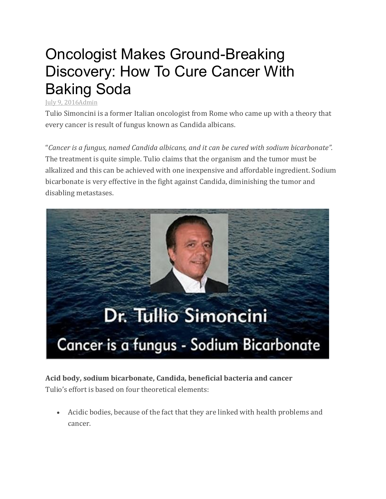## Oncologist Makes Ground-Breaking Discovery: How To Cure Cancer With Baking Soda

## July 9, [2016Admin](http://www.justnaturalremedies.com/oncologist-makes-ground-breaking-discovery-cure-cancer-baking-soda-2-62/)

Tulio Simoncini is a former Italian oncologist from Rome who came up with a theory that every cancer is result of fungus known as Candida albicans.

"*Cancer is a fungus, named Candida albicans, and it can be cured with sodium bicarbonate".* The treatment is quite simple. Tulio claims that the organism and the tumor must be alkalized and this can be achieved with one inexpensive and affordable ingredient. Sodium bicarbonate is very effective in the fight against Candida, diminishing the tumor and disabling metastases.



## **Acid body, sodium bicarbonate, Candida, beneficial bacteria and cancer** Tulio's effort is based on four theoretical elements:

 Acidic bodies, because of the fact that they are linked with health problems and cancer.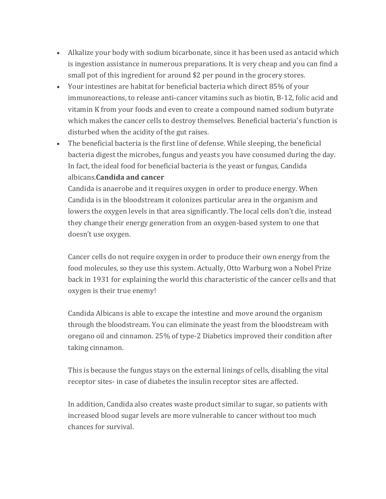- Alkalize your body with sodium bicarbonate, since it has been used as antacid which is ingestion assistance in numerous preparations. It is very cheap and you can find a small pot of this ingredient for around \$2 per pound in the grocery stores.
- Your intestines are habitat for beneficial bacteria which direct 85% of your immunoreactions, to release anti-cancer vitamins such as biotin, B-12, folic acid and vitamin K from your foods and even to create a compound named sodium butyrate which makes the cancer cells to destroy themselves. Beneficial bacteria's function is disturbed when the acidity of the gut raises.
- The beneficial bacteria is the first line of defense. While sleeping, the beneficial bacteria digest the microbes, fungus and yeasts you have consumed during the day. In fact, the ideal food for beneficial bacteria is the yeast or fungus, Candida albicans.**Candida and cancer**

Candida is anaerobe and it requires oxygen in order to produce energy. When Candida is in the bloodstream it colonizes particular area in the organism and lowers the oxygen levels in that area significantly. The local cells don't die, instead they change their energy generation from an oxygen-based system to one that doesn't use oxygen.

Cancer cells do not require oxygen in order to produce their own energy from the food molecules, so they use this system. Actually, Otto Warburg won a Nobel Prize back in 1931 for explaining the world this characteristic of the cancer cells and that oxygen is their true enemy!

Candida Albicans is able to excape the intestine and move around the organism through the bloodstream. You can eliminate the yeast from the bloodstream with oregano oil and cinnamon. 25% of type-2 Diabetics improved their condition after taking cinnamon.

This is because the fungus stays on the external linings of cells, disabling the vital receptor sites- in case of diabetes the insulin receptor sites are affected.

In addition, Candida also creates waste product similar to sugar, so patients with increased blood sugar levels are more vulnerable to cancer without too much chances for survival.